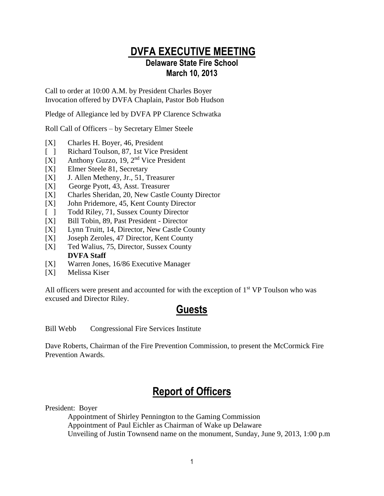#### **DVFA EXECUTIVE MEETING Delaware State Fire School March 10, 2013**

Call to order at 10:00 A.M. by President Charles Boyer Invocation offered by DVFA Chaplain, Pastor Bob Hudson

Pledge of Allegiance led by DVFA PP Clarence Schwatka

Roll Call of Officers – by Secretary Elmer Steele

- [X] Charles H. Boyer, 46, President
- [ ] Richard Toulson, 87, 1st Vice President
- [X] Anthony Guzzo, 19, 2nd Vice President
- [X] Elmer Steele 81, Secretary
- [X] J. Allen Metheny, Jr., 51, Treasurer
- [X] George Pyott, 43, Asst. Treasurer
- [X] Charles Sheridan, 20, New Castle County Director
- [X] John Pridemore, 45, Kent County Director
- [ ] Todd Riley, 71, Sussex County Director
- [X] Bill Tobin, 89, Past President Director
- [X] Lynn Truitt, 14, Director, New Castle County
- [X] Joseph Zeroles, 47 Director, Kent County
- [X] Ted Walius, 75, Director, Sussex County **DVFA Staff**
- [X] Warren Jones, 16/86 Executive Manager
- [X] Melissa Kiser

All officers were present and accounted for with the exception of  $1<sup>st</sup> VP$  Toulson who was excused and Director Riley.

#### **Guests**

Bill Webb Congressional Fire Services Institute

Dave Roberts, Chairman of the Fire Prevention Commission, to present the McCormick Fire Prevention Awards.

## **Report of Officers**

President: Boyer

Appointment of Shirley Pennington to the Gaming Commission Appointment of Paul Eichler as Chairman of Wake up Delaware Unveiling of Justin Townsend name on the monument, Sunday, June 9, 2013, 1:00 p.m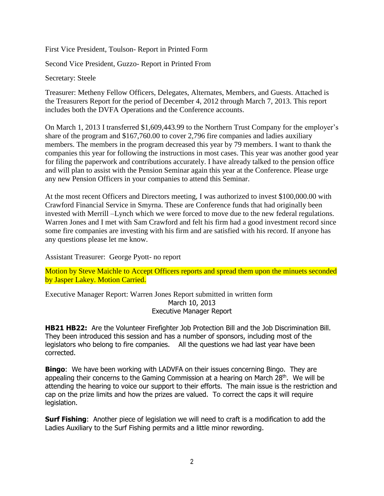First Vice President, Toulson- Report in Printed Form

Second Vice President, Guzzo- Report in Printed From

Secretary: Steele

Treasurer: Metheny Fellow Officers, Delegates, Alternates, Members, and Guests. Attached is the Treasurers Report for the period of December 4, 2012 through March 7, 2013. This report includes both the DVFA Operations and the Conference accounts.

On March 1, 2013 I transferred \$1,609,443.99 to the Northern Trust Company for the employer's share of the program and \$167,760.00 to cover 2,796 fire companies and ladies auxiliary members. The members in the program decreased this year by 79 members. I want to thank the companies this year for following the instructions in most cases. This year was another good year for filing the paperwork and contributions accurately. I have already talked to the pension office and will plan to assist with the Pension Seminar again this year at the Conference. Please urge any new Pension Officers in your companies to attend this Seminar.

At the most recent Officers and Directors meeting, I was authorized to invest \$100,000.00 with Crawford Financial Service in Smyrna. These are Conference funds that had originally been invested with Merrill –Lynch which we were forced to move due to the new federal regulations. Warren Jones and I met with Sam Crawford and felt his firm had a good investment record since some fire companies are investing with his firm and are satisfied with his record. If anyone has any questions please let me know.

Assistant Treasurer: George Pyott- no report

Motion by Steve Maichle to Accept Officers reports and spread them upon the minuets seconded by Jasper Lakey. Motion Carried.

Executive Manager Report: Warren Jones Report submitted in written form March 10, 2013 Executive Manager Report

**HB21 HB22:** Are the Volunteer Firefighter Job Protection Bill and the Job Discrimination Bill. They been introduced this session and has a number of sponsors, including most of the legislators who belong to fire companies. All the questions we had last year have been corrected.

**Bingo**: We have been working with LADVFA on their issues concerning Bingo. They are appealing their concerns to the Gaming Commission at a hearing on March  $28<sup>th</sup>$ . We will be attending the hearing to voice our support to their efforts. The main issue is the restriction and cap on the prize limits and how the prizes are valued. To correct the caps it will require legislation.

**Surf Fishing:** Another piece of legislation we will need to craft is a modification to add the Ladies Auxiliary to the Surf Fishing permits and a little minor rewording.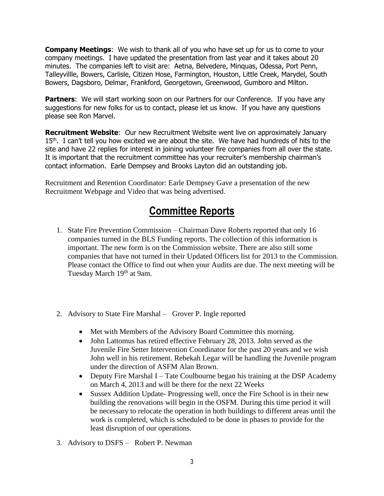**Company Meetings**: We wish to thank all of you who have set up for us to come to your company meetings. I have updated the presentation from last year and it takes about 20 minutes. The companies left to visit are: Aetna, Belvedere, Minquas, Odessa, Port Penn, Talleyvillle, Bowers, Carlisle, Citizen Hose, Farmington, Houston, Little Creek, Marydel, South Bowers, Dagsboro, Delmar, Frankford, Georgetown, Greenwood, Gumboro and Milton.

**Partners:** We will start working soon on our Partners for our Conference. If you have any suggestions for new folks for us to contact, please let us know. If you have any questions please see Ron Marvel.

**Recruitment Website**: Our new Recruitment Website went live on approximately January  $15<sup>th</sup>$ . I can't tell you how excited we are about the site. We have had hundreds of hits to the site and have 22 replies for interest in joining volunteer fire companies from all over the state. It is important that the recruitment committee has your recruiter's membership chairman's contact information. Earle Dempsey and Brooks Layton did an outstanding job.

Recruitment and Retention Coordinator: Earle Dempsey Gave a presentation of the new Recruitment Webpage and Video that was being advertised.

## **Committee Reports**

- 1. State Fire Prevention Commission Chairman Dave Roberts reported that only 16 companies turned in the BLS Funding reports. The collection of this information is important. The new form is on the Commission website. There are also still some companies that have not turned in their Updated Officers list for 2013 to the Commission. Please contact the Office to find out when your Audits are due. The next meeting will be Tuesday March 19<sup>th</sup> at 9am.
- 2. Advisory to State Fire Marshal Grover P. Ingle reported
	- Met with Members of the Advisory Board Committee this morning.
	- John Lattomus has retired effective February 28, 2013. John served as the Juvenile Fire Setter Intervention Coordinator for the past 20 years and we wish John well in his retirement. Rebekah Legar will be handling the Juvenile program under the direction of ASFM Alan Brown.
	- Deputy Fire Marshal I Tate Coulbourne began his training at the DSP Academy on March 4, 2013 and will be there for the next 22 Weeks
	- Sussex Addition Update- Progressing well, once the Fire School is in their new building the renovations will begin in the OSFM. During this time period it will be necessary to relocate the operation in both buildings to different areas until the work is completed, which is scheduled to be done in phases to provide for the least disruption of our operations.
- 3. Advisory to DSFS Robert P. Newman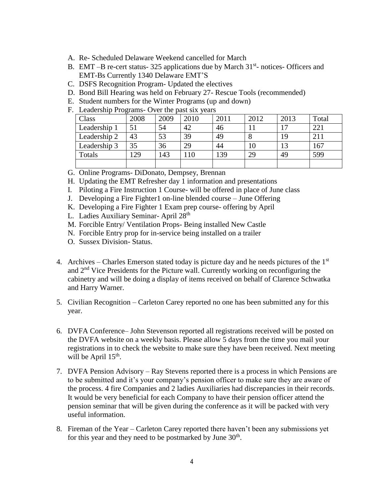- A. Re- Scheduled Delaware Weekend cancelled for March
- B. EMT-B re-cert status- 325 applications due by March 31<sup>st</sup>- notices- Officers and EMT-Bs Currently 1340 Delaware EMT'S
- C. DSFS Recognition Program- Updated the electives
- D. Bond Bill Hearing was held on February 27- Rescue Tools (recommended)
- E. Student numbers for the Winter Programs (up and down)
- F. Leadership Programs- Over the past six years

| Class        | 2008 | 2009 | 2010 | 2011 | 2012 | 2013 | Total |
|--------------|------|------|------|------|------|------|-------|
| Leadership 1 | 51   | 54   | 42   | 46   |      |      | 221   |
| Leadership 2 | 43   | 53   | 39   | 49   |      | 19   | 211   |
| Leadership 3 | 35   | 36   | 29   | 44   | 10   |      | 167   |
| Totals       | 129  | 143  | 10   | 139  | 29   | 49   | 599   |
|              |      |      |      |      |      |      |       |

G. Online Programs- DiDonato, Dempsey, Brennan

H. Updating the EMT Refresher day 1 information and presentations

- I. Piloting a Fire Instruction 1 Course- will be offered in place of June class
- J. Developing a Fire Fighter1 on-line blended course June Offering
- K. Developing a Fire Fighter 1 Exam prep course- offering by April
- L. Ladies Auxiliary Seminar- April 28<sup>th</sup>
- M. Forcible Entry/ Ventilation Props- Being installed New Castle
- N. Forcible Entry prop for in-service being installed on a trailer
- O. Sussex Division- Status.
- 4. Archives Charles Emerson stated today is picture day and he needs pictures of the  $1<sup>st</sup>$ and 2nd Vice Presidents for the Picture wall. Currently working on reconfiguring the cabinetry and will be doing a display of items received on behalf of Clarence Schwatka and Harry Warner.
- 5. Civilian Recognition Carleton Carey reported no one has been submitted any for this year.
- 6. DVFA Conference– John Stevenson reported all registrations received will be posted on the DVFA website on a weekly basis. Please allow 5 days from the time you mail your registrations in to check the website to make sure they have been received. Next meeting will be April  $15<sup>th</sup>$ .
- 7. DVFA Pension Advisory Ray Stevens reported there is a process in which Pensions are to be submitted and it's your company's pension officer to make sure they are aware of the process. 4 fire Companies and 2 ladies Auxiliaries had discrepancies in their records. It would be very beneficial for each Company to have their pension officer attend the pension seminar that will be given during the conference as it will be packed with very useful information.
- 8. Fireman of the Year Carleton Carey reported there haven't been any submissions yet for this year and they need to be postmarked by June  $30<sup>th</sup>$ .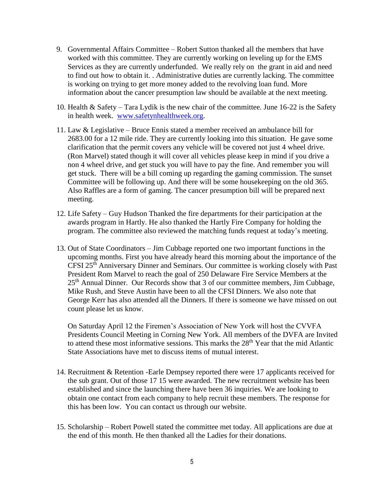- 9. Governmental Affairs Committee Robert Sutton thanked all the members that have worked with this committee. They are currently working on leveling up for the EMS Services as they are currently underfunded. We really rely on the grant in aid and need to find out how to obtain it. . Administrative duties are currently lacking. The committee is working on trying to get more money added to the revolving loan fund. More information about the cancer presumption law should be available at the next meeting.
- 10. Health & Safety Tara Lydik is the new chair of the committee. June 16-22 is the Safety in health week. [www.safetynhealthweek.org.](http://www.safetynhealthweek.org/)
- 11. Law & Legislative Bruce Ennis stated a member received an ambulance bill for 2683.00 for a 12 mile ride. They are currently looking into this situation. He gave some clarification that the permit covers any vehicle will be covered not just 4 wheel drive. (Ron Marvel) stated though it will cover all vehicles please keep in mind if you drive a non 4 wheel drive, and get stuck you will have to pay the fine. And remember you will get stuck. There will be a bill coming up regarding the gaming commission. The sunset Committee will be following up. And there will be some housekeeping on the old 365. Also Raffles are a form of gaming. The cancer presumption bill will be prepared next meeting.
- 12. Life Safety Guy Hudson Thanked the fire departments for their participation at the awards program in Hartly. He also thanked the Hartly Fire Company for holding the program. The committee also reviewed the matching funds request at today's meeting.
- 13. Out of State Coordinators Jim Cubbage reported one two important functions in the upcoming months. First you have already heard this morning about the importance of the CFSI 25th Anniversary Dinner and Seminars. Our committee is working closely with Past President Rom Marvel to reach the goal of 250 Delaware Fire Service Members at the 25<sup>th</sup> Annual Dinner. Our Records show that 3 of our committee members, Jim Cubbage, Mike Rush, and Steve Austin have been to all the CFSI Dinners. We also note that George Kerr has also attended all the Dinners. If there is someone we have missed on out count please let us know.

On Saturday April 12 the Firemen's Association of New York will host the CVVFA Presidents Council Meeting in Corning New York. All members of the DVFA are Invited to attend these most informative sessions. This marks the 28<sup>th</sup> Year that the mid Atlantic State Associations have met to discuss items of mutual interest.

- 14. Recruitment & Retention -Earle Dempsey reported there were 17 applicants received for the sub grant. Out of those 17 15 were awarded. The new recruitment website has been established and since the launching there have been 36 inquiries. We are looking to obtain one contact from each company to help recruit these members. The response for this has been low. You can contact us through our website.
- 15. Scholarship Robert Powell stated the committee met today. All applications are due at the end of this month. He then thanked all the Ladies for their donations.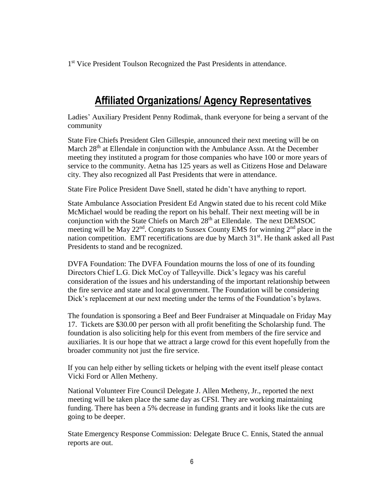1<sup>st</sup> Vice President Toulson Recognized the Past Presidents in attendance.

## **Affiliated Organizations/ Agency Representatives**

Ladies' Auxiliary President Penny Rodimak, thank everyone for being a servant of the community

State Fire Chiefs President Glen Gillespie, announced their next meeting will be on March  $28<sup>th</sup>$  at Ellendale in conjunction with the Ambulance Assn. At the December meeting they instituted a program for those companies who have 100 or more years of service to the community. Aetna has 125 years as well as Citizens Hose and Delaware city. They also recognized all Past Presidents that were in attendance.

State Fire Police President Dave Snell, stated he didn't have anything to report.

State Ambulance Association President Ed Angwin stated due to his recent cold Mike McMichael would be reading the report on his behalf. Their next meeting will be in conjunction with the State Chiefs on March  $28<sup>th</sup>$  at Ellendale. The next DEMSOC meeting will be May  $22<sup>nd</sup>$ . Congrats to Sussex County EMS for winning  $2<sup>nd</sup>$  place in the nation competition. EMT recertifications are due by March 31<sup>st</sup>. He thank asked all Past Presidents to stand and be recognized.

DVFA Foundation: The DVFA Foundation mourns the loss of one of its founding Directors Chief L.G. Dick McCoy of Talleyville. Dick's legacy was his careful consideration of the issues and his understanding of the important relationship between the fire service and state and local government. The Foundation will be considering Dick's replacement at our next meeting under the terms of the Foundation's bylaws.

The foundation is sponsoring a Beef and Beer Fundraiser at Minquadale on Friday May 17. Tickets are \$30.00 per person with all profit benefiting the Scholarship fund. The foundation is also soliciting help for this event from members of the fire service and auxiliaries. It is our hope that we attract a large crowd for this event hopefully from the broader community not just the fire service.

If you can help either by selling tickets or helping with the event itself please contact Vicki Ford or Allen Metheny.

National Volunteer Fire Council Delegate J. Allen Metheny, Jr., reported the next meeting will be taken place the same day as CFSI. They are working maintaining funding. There has been a 5% decrease in funding grants and it looks like the cuts are going to be deeper.

State Emergency Response Commission: Delegate Bruce C. Ennis, Stated the annual reports are out.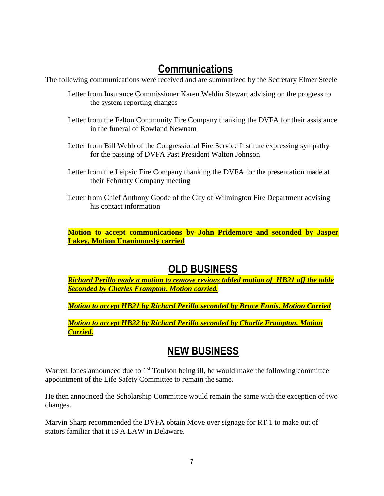## **Communications**

The following communications were received and are summarized by the Secretary Elmer Steele

- Letter from Insurance Commissioner Karen Weldin Stewart advising on the progress to the system reporting changes
- Letter from the Felton Community Fire Company thanking the DVFA for their assistance in the funeral of Rowland Newnam
- Letter from Bill Webb of the Congressional Fire Service Institute expressing sympathy for the passing of DVFA Past President Walton Johnson
- Letter from the Leipsic Fire Company thanking the DVFA for the presentation made at their February Company meeting
- Letter from Chief Anthony Goode of the City of Wilmington Fire Department advising his contact information

**Motion to accept communications by John Pridemore and seconded by Jasper Lakey, Motion Unanimously carried**

#### **OLD BUSINESS**

*Richard Perillo made a motion to remove revious tabled motion of HB21 off the table Seconded by Charles Frampton. Motion carried.*

*Motion to accept HB21 by Richard Perillo seconded by Bruce Ennis. Motion Carried*

*Motion to accept HB22 by Richard Perillo seconded by Charlie Frampton. Motion Carried.*

## **NEW BUSINESS**

Warren Jones announced due to  $1<sup>st</sup>$  Toulson being ill, he would make the following committee appointment of the Life Safety Committee to remain the same.

He then announced the Scholarship Committee would remain the same with the exception of two changes.

Marvin Sharp recommended the DVFA obtain Move over signage for RT 1 to make out of stators familiar that it IS A LAW in Delaware.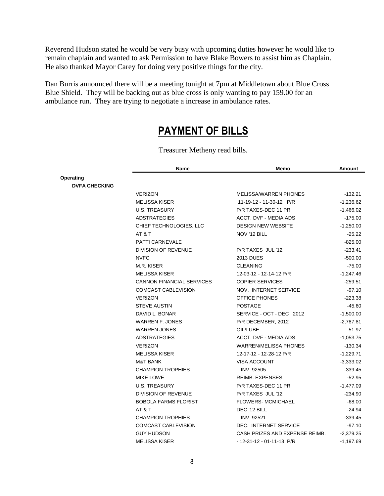Reverend Hudson stated he would be very busy with upcoming duties however he would like to remain chaplain and wanted to ask Permission to have Blake Bowers to assist him as Chaplain. He also thanked Mayor Carey for doing very positive things for the city.

Dan Burris announced there will be a meeting tonight at 7pm at Middletown about Blue Cross Blue Shield. They will be backing out as blue cross is only wanting to pay 159.00 for an ambulance run. They are trying to negotiate a increase in ambulance rates.

#### **PAYMENT OF BILLS**

|                      | Name                             | Memo                           | Amount      |
|----------------------|----------------------------------|--------------------------------|-------------|
| <b>Operating</b>     |                                  |                                |             |
| <b>DVFA CHECKING</b> |                                  |                                |             |
|                      | <b>VERIZON</b>                   | MELISSA/WARREN PHONES          | $-132.21$   |
|                      | <b>MELISSA KISER</b>             | 11-19-12 - 11-30-12 P/R        | $-1,236.62$ |
|                      | <b>U.S. TREASURY</b>             | P/R TAXES-DEC 11 PR            | $-1,466.02$ |
|                      | <b>ADSTRATEGIES</b>              | <b>ACCT. DVF - MEDIA ADS</b>   | $-175.00$   |
|                      | CHIEF TECHNOLOGIES, LLC          | <b>DESIGN NEW WEBSITE</b>      | $-1,250.00$ |
|                      | AT&T                             | NOV '12 BILL                   | $-25.22$    |
|                      | PATTI CARNEVALE                  |                                | $-825.00$   |
|                      | DIVISION OF REVENUE              | P/R TAXES JUL '12              | $-233.41$   |
|                      | <b>NVFC</b>                      | <b>2013 DUES</b>               | $-500.00$   |
|                      | M.R. KISER                       | <b>CLEANING</b>                | $-75.00$    |
|                      | <b>MELISSA KISER</b>             | 12-03-12 - 12-14-12 P/R        | $-1,247.46$ |
|                      | <b>CANNON FINANCIAL SERVICES</b> | <b>COPIER SERVICES</b>         | $-259.51$   |
|                      | COMCAST CABLEVISION              | NOV. INTERNET SERVICE          | $-97.10$    |
|                      | <b>VERIZON</b>                   | OFFICE PHONES                  | $-223.38$   |
|                      | <b>STEVE AUSTIN</b>              | <b>POSTAGE</b>                 | $-45.60$    |
|                      | DAVID L. BONAR                   | SERVICE - OCT - DEC 2012       | $-1,500.00$ |
|                      | <b>WARREN F. JONES</b>           | P/R DECEMBER, 2012             | $-2,787.81$ |
|                      | <b>WARREN JONES</b>              | OIL/LUBE                       | $-51.97$    |
|                      | <b>ADSTRATEGIES</b>              | <b>ACCT. DVF - MEDIA ADS</b>   | $-1,053.75$ |
|                      | <b>VERIZON</b>                   | <b>WARREN/MELISSA PHONES</b>   | $-130.34$   |
|                      | <b>MELISSA KISER</b>             | 12-17-12 - 12-28-12 P/R        | $-1,229.71$ |
|                      | <b>M&amp;T BANK</b>              | <b>VISA ACCOUNT</b>            | $-3,333.02$ |
|                      | <b>CHAMPION TROPHIES</b>         | INV 92505                      | $-339.45$   |
|                      | MIKE LOWE                        | REIMB. EXPENSES                | $-52.95$    |
|                      | <b>U.S. TREASURY</b>             | P/R TAXES-DEC 11 PR            | $-1,477.09$ |
|                      | DIVISION OF REVENUE              | P/R TAXES JUL '12              | $-234.90$   |
|                      | <b>BOBOLA FARMS FLORIST</b>      | <b>FLOWERS-MCMICHAEL</b>       | $-68.00$    |
|                      | AT&T                             | DEC '12 BILL                   | $-24.94$    |
|                      | <b>CHAMPION TROPHIES</b>         | INV 92521                      | $-339.45$   |
|                      | COMCAST CABLEVISION              | DEC. INTERNET SERVICE          | $-97.10$    |
|                      | <b>GUY HUDSON</b>                | CASH PRIZES AND EXPENSE REIMB. | $-2,379.25$ |
|                      | <b>MELISSA KISER</b>             | - 12-31-12 - 01-11-13 P/R      | $-1,197.69$ |

Treasurer Metheny read bills.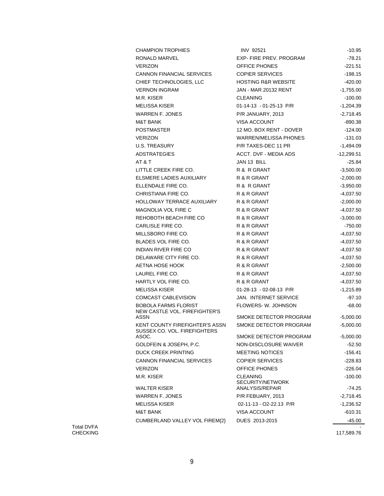| <b>CHAMPION TROPHIES</b>                                       | <b>INV 92521</b>                    | $-10.95$             |
|----------------------------------------------------------------|-------------------------------------|----------------------|
| RONALD MARVEL                                                  | EXP-FIRE PREV. PROGRAM              | $-78.21$             |
| <b>VERIZON</b>                                                 | OFFICE PHONES                       | $-221.51$            |
| <b>CANNON FINANCIAL SERVICES</b>                               | <b>COPIER SERVICES</b>              | -198.15              |
| CHIEF TECHNOLOGIES, LLC                                        | <b>HOSTING R&amp;R WEBSITE</b>      | $-420.00$            |
| <b>VERNON INGRAM</b>                                           | JAN - MAR 20132 RENT                | $-1,755.00$          |
| M.R. KISER                                                     | <b>CLEANING</b>                     | $-100.00$            |
| <b>MELISSA KISER</b>                                           | 01-14-13 - 01-25-13 P/R             | $-1,204.39$          |
| <b>WARREN F. JONES</b>                                         | P/R JANUARY, 2013                   | $-2,718.45$          |
| <b>M&amp;T BANK</b>                                            | <b>VISA ACCOUNT</b>                 | -890.38              |
| <b>POSTMASTER</b>                                              | 12 MO. BOX RENT - DOVER             | -124.00              |
| <b>VERIZON</b>                                                 | WARREN/MELISSA PHONES               | $-131.03$            |
| <b>U.S. TREASURY</b>                                           | P/R TAXES-DEC 11 PR                 | $-1,494.09$          |
| <b>ADSTRATEGIES</b>                                            | ACCT. DVF - MEDIA ADS               | $-12,299.51$         |
| AT & T                                                         | JAN 13 BILL                         | -25.84               |
| LITTLE CREEK FIRE CO.                                          | R & R GRANT                         | $-3,500.00$          |
| ELSMERE LADIES AUXILIARY                                       | R & R GRANT                         | $-2,000.00$          |
| ELLENDALE FIRE CO.                                             | R & R GRANT                         | $-3,950.00$          |
| CHRISTIANA FIRE CO.                                            | R & R GRANT                         | $-4,037.50$          |
| HOLLOWAY TERRACE AUXILIARY                                     | R & R GRANT                         | $-2,000.00$          |
| <b>MAGNOLIA VOL FIRE C</b>                                     | R & R GRANT                         | $-4,037.50$          |
| REHOBOTH BEACH FIRE CO                                         | R & R GRANT                         | $-3,000.00$          |
| CARLISLE FIRE CO.                                              | R & R GRANT                         | -750.00              |
| MILLSBORO FIRE CO.                                             | R & R GRANT                         | $-4,037.50$          |
| BLADES VOL FIRE CO.                                            | R & R GRANT                         | $-4,037.50$          |
| INDIAN RIVER FIRE CO                                           | R & R GRANT                         | $-4,037.50$          |
| DELAWARE CITY FIRE CO.                                         | R & R GRANT                         | $-4,037.50$          |
| AETNA HOSE HOOK                                                | R & R GRANT                         | $-2,500.00$          |
| LAUREL FIRE CO.                                                | R & R GRANT                         | $-4,037.50$          |
| HARTLY VOL FIRE CO.                                            | R & R GRANT                         | $-4,037.50$          |
| <b>MELISSA KISER</b>                                           | 01-28-13 - 02-08-13 P/R             | -1,215.89            |
| COMCAST CABLEVISION                                            | <b>JAN. INTERNET SERVICE</b>        | $-97.10$             |
| BOBOLA FARMS FLORIST                                           | FLOWERS-W. JOHNSON                  | $-68.00$             |
| NEW CASTLE VOL. FIREFIGHTER'S<br>ASSN                          | SMOKE DETECTOR PROGRAM              | $-5,000.00$          |
| KENT COUNTY FIREFIGHTER'S ASSN<br>SUSSEX CO. VOL. FIREFIGHTERS | SMOKE DETECTOR PROGRAM              | $-5,000.00$          |
| ASOC.                                                          | SMOKE DETECTOR PROGRAM              | $-5,000.00$          |
| GOLDFEIN & JOSEPH, P.C.                                        | NON-DISCLOSURE WAIVER               | $-52.50$             |
| <b>DUCK CREEK PRINTING</b>                                     | <b>MEETING NOTICES</b>              | -156.41              |
| <b>CANNON FINANCIAL SERVICES</b>                               | <b>COPIER SERVICES</b>              | $-228.83$            |
| <b>VERIZON</b>                                                 | OFFICE PHONES                       | -226.04              |
| M.R. KISER                                                     | <b>CLEANING</b><br>SECURITY/NETWORK | $-100.00$            |
| <b>WALTER KISER</b>                                            | ANALYSIS/REPAIR                     | $-74.25$             |
| <b>WARREN F. JONES</b>                                         | P/R FEBUARY, 2013                   | $-2,718.45$          |
| <b>MELISSA KISER</b>                                           | 02-11-13 - O2-22.13 P/R             | $-1,236.52$          |
| <b>M&amp;T BANK</b>                                            | VISA ACCOUNT                        | -610.31              |
| CUMBERLAND VALLEY VOL FIREM{2}                                 | DUES 2013-2015                      | -45.00<br>117 580 76 |

Total DVFA CHECKING

117,589.76